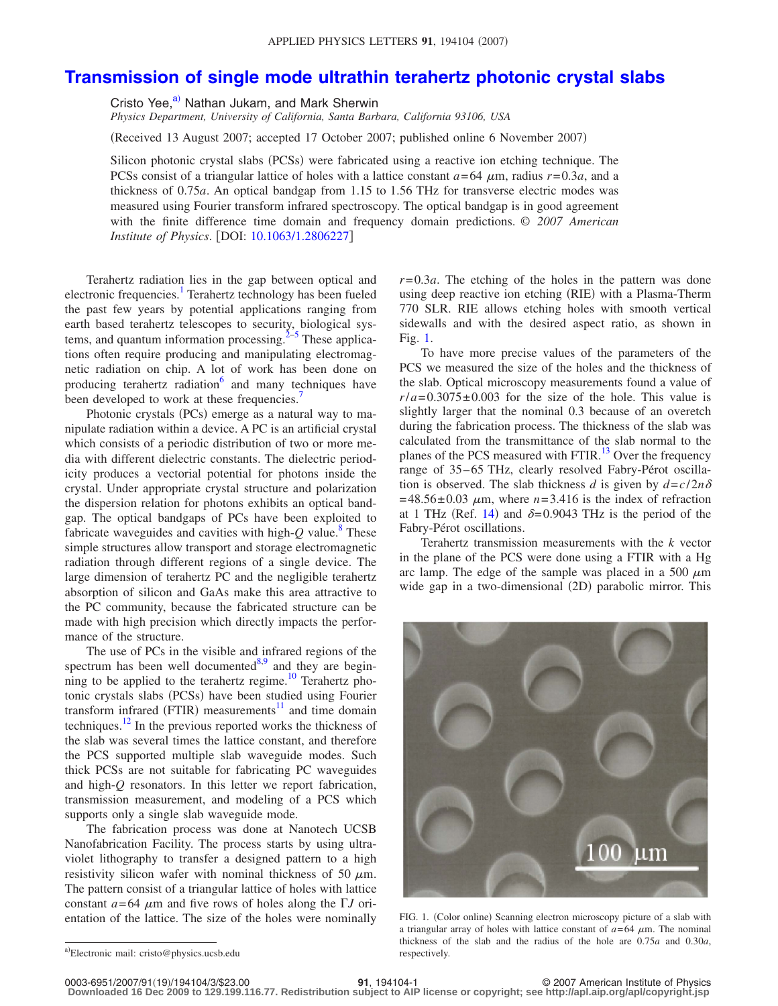## **[Transmission of single mode ultrathin terahertz photonic crystal slabs](http://dx.doi.org/10.1063/1.2806227)**

Cristo Yee,<sup>a)</sup> Nathan Jukam, and Mark Sherwin

*Physics Department, University of California, Santa Barbara, California 93106, USA*

Received 13 August 2007; accepted 17 October 2007; published online 6 November 2007-

Silicon photonic crystal slabs (PCSs) were fabricated using a reactive ion etching technique. The PCSs consist of a triangular lattice of holes with a lattice constant  $a=64 \mu m$ , radius  $r=0.3a$ , and a thickness of 0.75*a*. An optical bandgap from 1.15 to 1.56 THz for transverse electric modes was measured using Fourier transform infrared spectroscopy. The optical bandgap is in good agreement with the finite difference time domain and frequency domain predictions. © *2007 American Institute of Physics.* [DOI: [10.1063/1.2806227](http://dx.doi.org/10.1063/1.2806227)]

Terahertz radiation lies in the gap between optical and electronic frequencies.<sup>1</sup> Terahertz technology has been fueled the past few years by potential applications ranging from earth based terahertz telescopes to security, biological systems, and quantum information processing. $2-5$  These applications often require producing and manipulating electromagnetic radiation on chip. A lot of work has been done on producing terahertz radiation<sup>6</sup> and many techniques have been developed to work at these frequencies.<sup>7</sup>

Photonic crystals (PCs) emerge as a natural way to manipulate radiation within a device. A PC is an artificial crystal which consists of a periodic distribution of two or more media with different dielectric constants. The dielectric periodicity produces a vectorial potential for photons inside the crystal. Under appropriate crystal structure and polarization the dispersion relation for photons exhibits an optical bandgap. The optical bandgaps of PCs have been exploited to fabricate waveguides and cavities with high- $Q$  value.<sup>8</sup> These simple structures allow transport and storage electromagnetic radiation through different regions of a single device. The large dimension of terahertz PC and the negligible terahertz absorption of silicon and GaAs make this area attractive to the PC community, because the fabricated structure can be made with high precision which directly impacts the performance of the structure.

The use of PCs in the visible and infrared regions of the spectrum has been well documented $8.9$  $8.9$  and they are beginning to be applied to the terahertz regime.<sup>10</sup> Terahertz photonic crystals slabs (PCSs) have been studied using Fourier transform infrared (FTIR) measurements<sup>11</sup> and time domain techniques. $12$  In the previous reported works the thickness of the slab was several times the lattice constant, and therefore the PCS supported multiple slab waveguide modes. Such thick PCSs are not suitable for fabricating PC waveguides and high-*Q* resonators. In this letter we report fabrication, transmission measurement, and modeling of a PCS which supports only a single slab waveguide mode.

The fabrication process was done at Nanotech UCSB Nanofabrication Facility. The process starts by using ultraviolet lithography to transfer a designed pattern to a high resistivity silicon wafer with nominal thickness of 50  $\mu$ m. The pattern consist of a triangular lattice of holes with lattice constant  $a = 64 \mu m$  and five rows of holes along the  $\Gamma J$  orientation of the lattice. The size of the holes were nominally

To have more precise values of the parameters of the PCS we measured the size of the holes and the thickness of the slab. Optical microscopy measurements found a value of  $r/a = 0.3075 \pm 0.003$  for the size of the hole. This value is slightly larger that the nominal 0.3 because of an overetch during the fabrication process. The thickness of the slab was calculated from the transmittance of the slab normal to the planes of the PCS measured with FTIR.<sup>13</sup> Over the frequency range of 35-65 THz, clearly resolved Fabry-Pérot oscillation is observed. The slab thickness *d* is given by  $d = c/2n\delta$  $= 48.56 \pm 0.03$   $\mu$ m, where  $n = 3.416$  is the index of refraction at 1 THz (Ref. [14](#page-2-10)) and  $\delta = 0.9043$  THz is the period of the Fabry-Pérot oscillations.

Terahertz transmission measurements with the *k* vector in the plane of the PCS were done using a FTIR with a Hg arc lamp. The edge of the sample was placed in a 500  $\mu$ m wide gap in a two-dimensional (2D) parabolic mirror. This

<span id="page-0-1"></span>

FIG. 1. (Color online) Scanning electron microscopy picture of a slab with a triangular array of holes with lattice constant of  $a = 64 \mu m$ . The nominal thickness of the slab and the radius of the hole are 0.75*a* and 0.30*a*, respectively.

**Downloaded 16 Dec 2009 to 129.199.116.77. Redistribution subject to AIP license or copyright; see http://apl.aip.org/apl/copyright.jsp**

*r*= 0.3*a*. The etching of the holes in the pattern was done using deep reactive ion etching (RIE) with a Plasma-Therm 770 SLR. RIE allows etching holes with smooth vertical sidewalls and with the desired aspect ratio, as shown in Fig. [1.](#page-0-1)

<span id="page-0-0"></span>a)Electronic mail: cristo@physics.ucsb.edu

**<sup>91</sup>**, 194104-1 © 2007 American Institute of Physics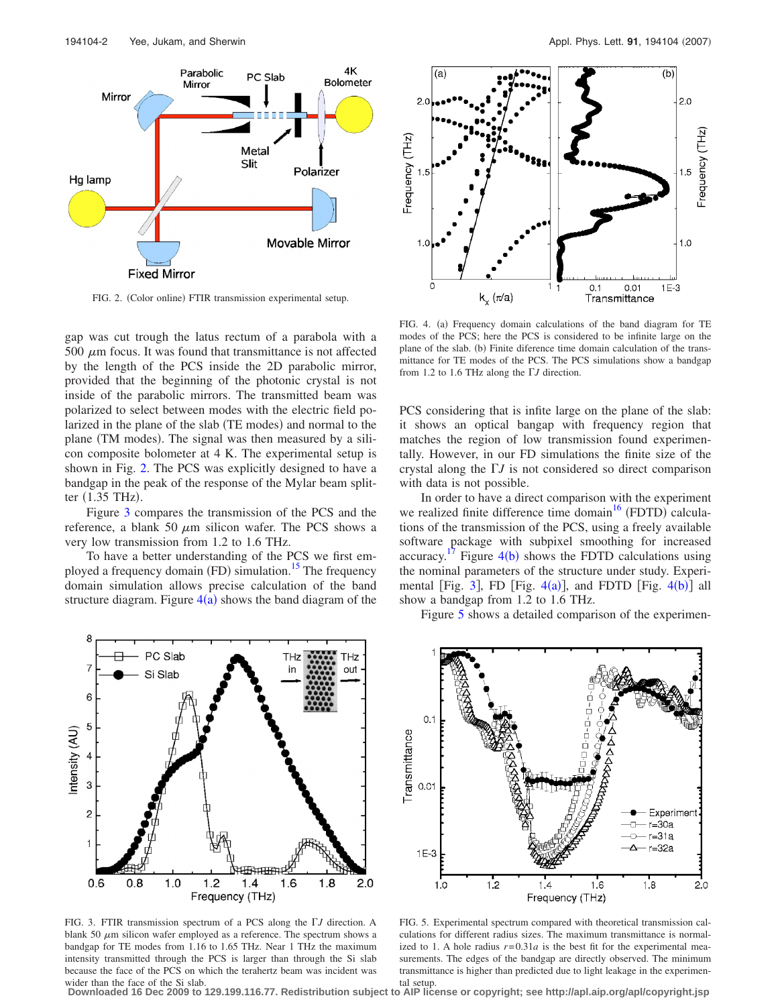<span id="page-1-0"></span>

FIG. 2. (Color online) FTIR transmission experimental setup.

gap was cut trough the latus rectum of a parabola with a  $500 \mu m$  focus. It was found that transmittance is not affected by the length of the PCS inside the 2D parabolic mirror, provided that the beginning of the photonic crystal is not inside of the parabolic mirrors. The transmitted beam was polarized to select between modes with the electric field polarized in the plane of the slab (TE modes) and normal to the plane (TM modes). The signal was then measured by a silicon composite bolometer at 4 K. The experimental setup is shown in Fig. [2.](#page-1-0) The PCS was explicitly designed to have a bandgap in the peak of the response of the Mylar beam splitter (1.35 THz).

Figure [3](#page-1-1) compares the transmission of the PCS and the reference, a blank 50  $\mu$ m silicon wafer. The PCS shows a very low transmission from 1.2 to 1.6 THz.

To have a better understanding of the PCS we first employed a frequency domain (FD) simulation.<sup>15</sup> The frequency domain simulation allows precise calculation of the band structure diagram. Figure  $4(a)$  $4(a)$  shows the band diagram of the



<span id="page-1-2"></span>

FIG. 4. (a) Frequency domain calculations of the band diagram for TE modes of the PCS; here the PCS is considered to be infinite large on the plane of the slab. (b) Finite diference time domain calculation of the transmittance for TE modes of the PCS. The PCS simulations show a bandgap from 1.2 to 1.6 THz along the  $\Gamma J$  direction.

PCS considering that is infite large on the plane of the slab: it shows an optical bangap with frequency region that matches the region of low transmission found experimentally. However, in our FD simulations the finite size of the crystal along the  $\Gamma J$  is not considered so direct comparison with data is not possible.

In order to have a direct comparison with the experiment we realized finite difference time domain<sup>16</sup> (FDTD) calculations of the transmission of the PCS, using a freely available software package with subpixel smoothing for increased accuracy.<sup>[17](#page-2-13)</sup> Figure  $4(b)$  $4(b)$  shows the FDTD calculations using the nominal parameters of the structure under study. Experi-mental [Fig. [3](#page-1-1)], FD [Fig.  $4(a)$  $4(a)$ ], and FDTD [Fig.  $4(b)$ ] all show a bandgap from 1.2 to 1.6 THz.

<span id="page-1-1"></span>

FIG. 3. FTIR transmission spectrum of a PCS along the  $\Gamma J$  direction. A blank 50  $\mu$ m silicon wafer employed as a reference. The spectrum shows a bandgap for TE modes from 1.16 to 1.65 THz. Near 1 THz the maximum intensity transmitted through the PCS is larger than through the Si slab because the face of the PCS on which the terahertz beam was incident was wider than the face of the Si slab.

<span id="page-1-3"></span>Figure [5](#page-1-3) shows a detailed comparison of the experimen-



FIG. 5. Experimental spectrum compared with theoretical transmission calculations for different radius sizes. The maximum transmittance is normalized to 1. A hole radius  $r=0.31a$  is the best fit for the experimental measurements. The edges of the bandgap are directly observed. The minimum transmittance is higher than predicted due to light leakage in the experimental setup.

**Downloaded 16 Dec 2009 to 129.199.116.77. Redistribution subject to AIP license or copyright; see http://apl.aip.org/apl/copyright.jsp**